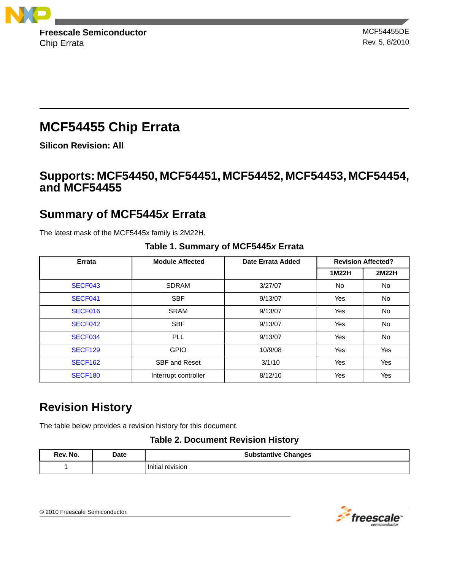

Chip Errata Rev. 5, 8/2010

# **MCF54455 Chip Errata**

**Silicon Revision: All**

# **Supports: MCF54450, MCF54451, MCF54452, MCF54453, MCF54454, and MCF54455**

# **Summary of MCF5445***x* **Errata**

The latest mask of the MCF5445x family is 2M22H.

| Errata         | <b>Module Affected</b> | Date Errata Added | <b>Revision Affected?</b> |           |
|----------------|------------------------|-------------------|---------------------------|-----------|
|                |                        |                   | 1M22H                     | 2M22H     |
| SECF043        | SDRAM                  | 3/27/07           | No.                       | <b>No</b> |
| SECF041        | <b>SBF</b>             | 9/13/07           | Yes                       | No.       |
| SECF016        | <b>SRAM</b>            | 9/13/07           | Yes                       | <b>No</b> |
| SECF042        | <b>SBF</b>             | 9/13/07           | Yes                       | <b>No</b> |
| SECF034        | PLL                    | 9/13/07           | Yes                       | No.       |
| <b>SECF129</b> | <b>GPIO</b>            | 10/9/08           | Yes                       | Yes       |
| <b>SECF162</b> | <b>SBF and Reset</b>   | 3/1/10            | Yes                       | Yes       |
| <b>SECF180</b> | Interrupt controller   | 8/12/10           | Yes                       | Yes       |

## **Table 1. Summary of MCF5445***x* **Errata**

# **Revision History**

The table below provides a revision history for this document.

## **Table 2. Document Revision History**

| Rev. No. | <b>Date</b> | <b>Substantive Changes</b> |
|----------|-------------|----------------------------|
|          |             | Initial revision           |

© 2010 Freescale Semiconductor.

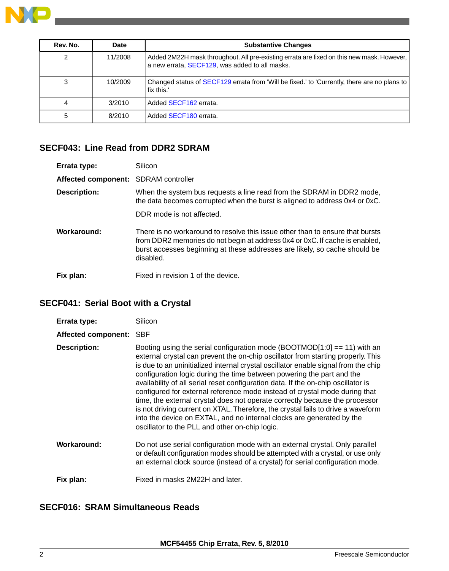

| Rev. No. | Date    | <b>Substantive Changes</b>                                                                                                                  |
|----------|---------|---------------------------------------------------------------------------------------------------------------------------------------------|
| 2        | 11/2008 | Added 2M22H mask throughout. All pre-existing errata are fixed on this new mask. However,<br>a new errata, SECF129, was added to all masks. |
| 3        | 10/2009 | Changed status of SECF129 errata from 'Will be fixed.' to 'Currently, there are no plans to<br>fix this.                                    |
|          | 3/2010  | Added SECF162 errata.                                                                                                                       |
| 5        | 8/2010  | Added SECF180 errata.                                                                                                                       |

### <span id="page-1-0"></span>**SECF043: Line Read from DDR2 SDRAM**

| Errata type:                         | Silicon                                                                                                                                                                                                                                                 |
|--------------------------------------|---------------------------------------------------------------------------------------------------------------------------------------------------------------------------------------------------------------------------------------------------------|
| Affected component: SDRAM controller |                                                                                                                                                                                                                                                         |
| <b>Description:</b>                  | When the system bus requests a line read from the SDRAM in DDR2 mode,<br>the data becomes corrupted when the burst is aligned to address 0x4 or 0xC.                                                                                                    |
|                                      | DDR mode is not affected.                                                                                                                                                                                                                               |
| Workaround:                          | There is no workaround to resolve this issue other than to ensure that bursts<br>from DDR2 memories do not begin at address 0x4 or 0xC. If cache is enabled,<br>burst accesses beginning at these addresses are likely, so cache should be<br>disabled. |
| Fix plan:                            | Fixed in revision 1 of the device.                                                                                                                                                                                                                      |

# <span id="page-1-1"></span>**SECF041: Serial Boot with a Crystal**

| Errata type:<br>Affected component: SBF | Silicon                                                                                                                                                                                                                                                                                                                                                                                                                                                                                                                                                                                                                                                                                                                                                                                        |
|-----------------------------------------|------------------------------------------------------------------------------------------------------------------------------------------------------------------------------------------------------------------------------------------------------------------------------------------------------------------------------------------------------------------------------------------------------------------------------------------------------------------------------------------------------------------------------------------------------------------------------------------------------------------------------------------------------------------------------------------------------------------------------------------------------------------------------------------------|
| <b>Description:</b>                     | Booting using the serial configuration mode $(BOOTMOD[1:0] == 11)$ with an<br>external crystal can prevent the on-chip oscillator from starting properly. This<br>is due to an uninitialized internal crystal oscillator enable signal from the chip<br>configuration logic during the time between powering the part and the<br>availability of all serial reset configuration data. If the on-chip oscillator is<br>configured for external reference mode instead of crystal mode during that<br>time, the external crystal does not operate correctly because the processor<br>is not driving current on XTAL. Therefore, the crystal fails to drive a waveform<br>into the device on EXTAL, and no internal clocks are generated by the<br>oscillator to the PLL and other on-chip logic. |
| Workaround:                             | Do not use serial configuration mode with an external crystal. Only parallel<br>or default configuration modes should be attempted with a crystal, or use only<br>an external clock source (instead of a crystal) for serial configuration mode.                                                                                                                                                                                                                                                                                                                                                                                                                                                                                                                                               |
| Fix plan:                               | Fixed in masks 2M22H and later.                                                                                                                                                                                                                                                                                                                                                                                                                                                                                                                                                                                                                                                                                                                                                                |

# <span id="page-1-2"></span>**SECF016: SRAM Simultaneous Reads**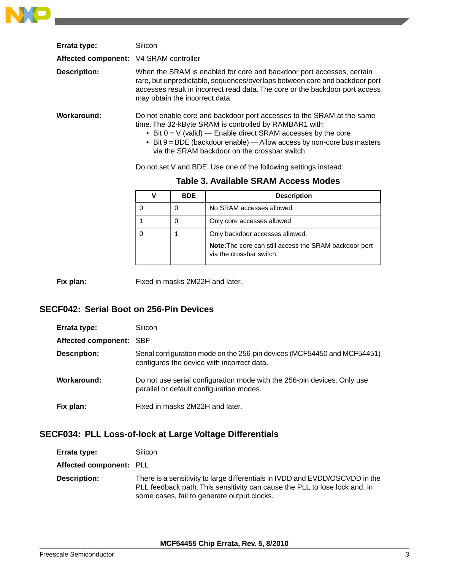

| Errata type:                           | Silicon                                                                                                                                                                                                                                                                                                                        |
|----------------------------------------|--------------------------------------------------------------------------------------------------------------------------------------------------------------------------------------------------------------------------------------------------------------------------------------------------------------------------------|
| Affected component: V4 SRAM controller |                                                                                                                                                                                                                                                                                                                                |
| <b>Description:</b>                    | When the SRAM is enabled for core and backdoor port accesses, certain<br>rare, but unpredictable, sequences/overlaps between core and backdoor port<br>accesses result in incorrect read data. The core or the backdoor port access<br>may obtain the incorrect data.                                                          |
| Workaround:                            | Do not enable core and backdoor port accesses to the SRAM at the same<br>time. The 32-kByte SRAM is controlled by RAMBAR1 with:<br>• Bit $0 = V$ (valid) — Enable direct SRAM accesses by the core<br>• Bit $9 = BDE$ (backdoor enable) — Allow access by non-core bus masters<br>via the SRAM backdoor on the crossbar switch |

Do not set V and BDE. Use one of the following settings instead:

| <b>BDE</b> | <b>Description</b>                                                                        |
|------------|-------------------------------------------------------------------------------------------|
| 0          | No SRAM accesses allowed                                                                  |
| 0          | Only core accesses allowed                                                                |
|            | Only backdoor accesses allowed.                                                           |
|            | <b>Note:</b> The core can still access the SRAM backdoor port<br>via the crossbar switch. |

### **Table 3. Available SRAM Access Modes**

<span id="page-2-0"></span>**Fix plan:** Fixed in masks 2M22H and later.

### **SECF042: Serial Boot on 256-Pin Devices**

| Errata type:            | Silicon                                                                                                                |
|-------------------------|------------------------------------------------------------------------------------------------------------------------|
| Affected component: SBF |                                                                                                                        |
| <b>Description:</b>     | Serial configuration mode on the 256-pin devices (MCF54450 and MCF54451)<br>configures the device with incorrect data. |
| Workaround:             | Do not use serial configuration mode with the 256-pin devices. Only use<br>parallel or default configuration modes.    |
| Fix plan:               | Fixed in masks 2M22H and later.                                                                                        |

## <span id="page-2-1"></span>**SECF034: PLL Loss-of-lock at Large Voltage Differentials**

| Errata type:            | Silicon                                                                                                                                                                                                   |
|-------------------------|-----------------------------------------------------------------------------------------------------------------------------------------------------------------------------------------------------------|
| Affected component: PLL |                                                                                                                                                                                                           |
| <b>Description:</b>     | There is a sensitivity to large differentials in IVDD and EVDD/OSCVDD in the<br>PLL feedback path. This sensitivity can cause the PLL to lose lock and, in<br>some cases, fail to generate output clocks. |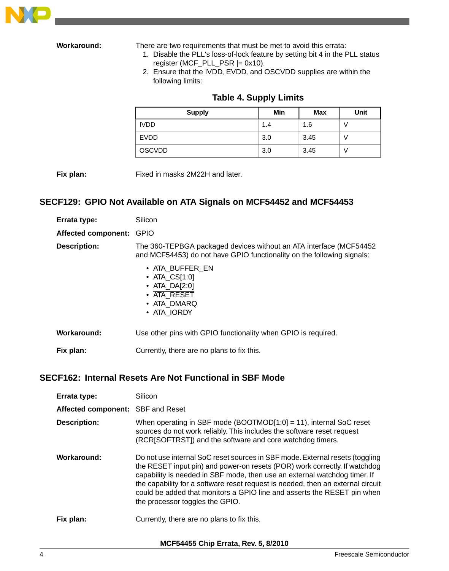

**Workaround:** There are two requirements that must be met to avoid this errata:

- 1. Disable the PLL's loss-of-lock feature by setting bit 4 in the PLL status register (MCF\_PLL\_PSR  $|= 0x10$ ).
- 2. Ensure that the IVDD, EVDD, and OSCVDD supplies are within the following limits:

| <b>Supply</b> | Min | <b>Max</b> | <b>Unit</b> |
|---------------|-----|------------|-------------|
| <b>IVDD</b>   | 1.4 | 1.6        | ν           |
| <b>EVDD</b>   | 3.0 | 3.45       |             |
| <b>OSCVDD</b> | 3.0 | 3.45       | v           |

### **Table 4. Supply Limits**

<span id="page-3-0"></span>**Fix plan:** Fixed in masks 2M22H and later.

### **SECF129: GPIO Not Available on ATA Signals on MCF54452 and MCF54453**

| Errata type:               | Silicon                                                                                                                                       |
|----------------------------|-----------------------------------------------------------------------------------------------------------------------------------------------|
| <b>Affected component:</b> | <b>GPIO</b>                                                                                                                                   |
| <b>Description:</b>        | The 360-TEPBGA packaged devices without an ATA interface (MCF54452)<br>and MCF54453) do not have GPIO functionality on the following signals: |
|                            | • ATA BUFFER EN<br>$\bullet$ ATA CS[1:0]<br>• ATA DA[2:0]<br>• ATA RESET<br>• ATA_DMARQ<br>• ATA IORDY                                        |
| Workaround:                | Use other pins with GPIO functionality when GPIO is required.                                                                                 |
| Fix plan:                  | Currently, there are no plans to fix this.                                                                                                    |

### <span id="page-3-1"></span>**SECF162: Internal Resets Are Not Functional in SBF Mode**

| Errata type:                      | Silicon                                                                                                                                                                                                                                                                                                                                                                                                                                  |
|-----------------------------------|------------------------------------------------------------------------------------------------------------------------------------------------------------------------------------------------------------------------------------------------------------------------------------------------------------------------------------------------------------------------------------------------------------------------------------------|
| Affected component: SBF and Reset |                                                                                                                                                                                                                                                                                                                                                                                                                                          |
| <b>Description:</b>               | When operating in SBF mode (BOOTMOD[1:0] = 11), internal SoC reset<br>sources do not work reliably. This includes the software reset request<br>(RCR[SOFTRST]) and the software and core watchdog timers.                                                                                                                                                                                                                                |
| Workaround:                       | Do not use internal SoC reset sources in SBF mode. External resets (toggling<br>the RESET input pin) and power-on resets (POR) work correctly. If watchdog<br>capability is needed in SBF mode, then use an external watchdog timer. If<br>the capability for a software reset request is needed, then an external circuit<br>could be added that monitors a GPIO line and asserts the RESET pin when<br>the processor toggles the GPIO. |
| Fix plan:                         | Currently, there are no plans to fix this.                                                                                                                                                                                                                                                                                                                                                                                               |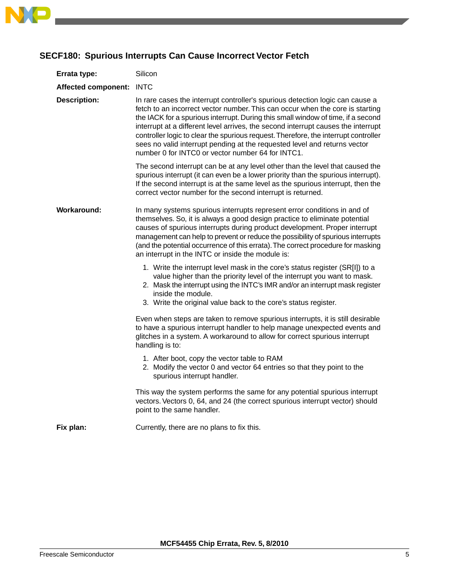

## <span id="page-4-0"></span>**SECF180: Spurious Interrupts Can Cause Incorrect Vector Fetch**

| Errata type:             | Silicon                                                                                                                                                                                                                                                                                                                                                                                                                                                                                                                                                          |
|--------------------------|------------------------------------------------------------------------------------------------------------------------------------------------------------------------------------------------------------------------------------------------------------------------------------------------------------------------------------------------------------------------------------------------------------------------------------------------------------------------------------------------------------------------------------------------------------------|
| Affected component: INTC |                                                                                                                                                                                                                                                                                                                                                                                                                                                                                                                                                                  |
| <b>Description:</b>      | In rare cases the interrupt controller's spurious detection logic can cause a<br>fetch to an incorrect vector number. This can occur when the core is starting<br>the IACK for a spurious interrupt. During this small window of time, if a second<br>interrupt at a different level arrives, the second interrupt causes the interrupt<br>controller logic to clear the spurious request. Therefore, the interrupt controller<br>sees no valid interrupt pending at the requested level and returns vector<br>number 0 for INTC0 or vector number 64 for INTC1. |
|                          | The second interrupt can be at any level other than the level that caused the<br>spurious interrupt (it can even be a lower priority than the spurious interrupt).<br>If the second interrupt is at the same level as the spurious interrupt, then the<br>correct vector number for the second interrupt is returned.                                                                                                                                                                                                                                            |
| <b>Workaround:</b>       | In many systems spurious interrupts represent error conditions in and of<br>themselves. So, it is always a good design practice to eliminate potential<br>causes of spurious interrupts during product development. Proper interrupt<br>management can help to prevent or reduce the possibility of spurious interrupts<br>(and the potential occurrence of this errata). The correct procedure for masking<br>an interrupt in the INTC or inside the module is:                                                                                                 |
|                          | 1. Write the interrupt level mask in the core's status register (SR[I]) to a<br>value higher than the priority level of the interrupt you want to mask.<br>2. Mask the interrupt using the INTC's IMR and/or an interrupt mask register<br>inside the module.<br>3. Write the original value back to the core's status register.                                                                                                                                                                                                                                 |
|                          | Even when steps are taken to remove spurious interrupts, it is still desirable<br>to have a spurious interrupt handler to help manage unexpected events and<br>glitches in a system. A workaround to allow for correct spurious interrupt<br>handling is to:                                                                                                                                                                                                                                                                                                     |
|                          | 1. After boot, copy the vector table to RAM<br>2. Modify the vector 0 and vector 64 entries so that they point to the<br>spurious interrupt handler.                                                                                                                                                                                                                                                                                                                                                                                                             |
|                          | This way the system performs the same for any potential spurious interrupt<br>vectors. Vectors 0, 64, and 24 (the correct spurious interrupt vector) should<br>point to the same handler.                                                                                                                                                                                                                                                                                                                                                                        |
| Fix plan:                | Currently, there are no plans to fix this.                                                                                                                                                                                                                                                                                                                                                                                                                                                                                                                       |